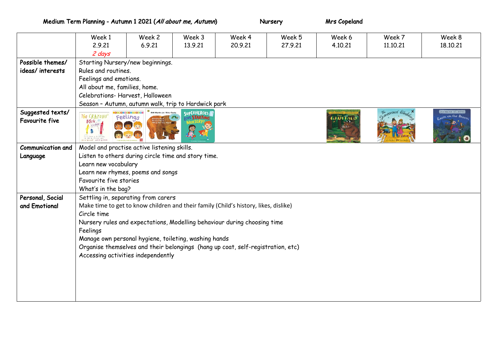Medium Term Planning - Autumn 1 2021 (All about me, Autumn) Nursery Miss Copeland

|                                           | Week 1                                                                                                                               | Week 2 | Week 3  | Week 4  | Week 5  | Week 6  | Week 7   | Week 8   |  |  |
|-------------------------------------------|--------------------------------------------------------------------------------------------------------------------------------------|--------|---------|---------|---------|---------|----------|----------|--|--|
|                                           | 2.9.21                                                                                                                               | 6.9.21 | 13.9.21 | 20.9.21 | 27.9.21 | 4.10.21 | 11.10.21 | 18,10,21 |  |  |
|                                           | 2 days                                                                                                                               |        |         |         |         |         |          |          |  |  |
| Possible themes/                          | Starting Nursery/new beginnings.                                                                                                     |        |         |         |         |         |          |          |  |  |
| ideas/interests                           | Rules and routines.                                                                                                                  |        |         |         |         |         |          |          |  |  |
|                                           | Feelings and emotions.                                                                                                               |        |         |         |         |         |          |          |  |  |
|                                           | All about me, families, home.                                                                                                        |        |         |         |         |         |          |          |  |  |
|                                           | Celebrations-Harvest, Halloween                                                                                                      |        |         |         |         |         |          |          |  |  |
|                                           | Season - Autumn, autumn walk, trip to Hardwick park                                                                                  |        |         |         |         |         |          |          |  |  |
| Suggested texts/<br><b>Favourite five</b> | SUPERHEROES<br>rtin Jr / Eric Carle<br>The CRAYONS'<br>Feelings<br><b>STARTING</b><br>$B$ Ook <sup>o</sup><br>63.63<br><b>Factor</b> |        |         |         |         |         |          |          |  |  |
| <b>Communication and</b>                  | Model and practise active listening skills.                                                                                          |        |         |         |         |         |          |          |  |  |
| Language                                  | Listen to others during circle time and story time.                                                                                  |        |         |         |         |         |          |          |  |  |
|                                           | Learn new vocabulary                                                                                                                 |        |         |         |         |         |          |          |  |  |
|                                           | Learn new rhymes, poems and songs                                                                                                    |        |         |         |         |         |          |          |  |  |
|                                           | Favourite five stories                                                                                                               |        |         |         |         |         |          |          |  |  |
|                                           | What's in the bag?                                                                                                                   |        |         |         |         |         |          |          |  |  |
| Personal, Social                          | Settling in, separating from carers                                                                                                  |        |         |         |         |         |          |          |  |  |
| and Emotional                             | Make time to get to know children and their family (Child's history, likes, dislike)                                                 |        |         |         |         |         |          |          |  |  |
|                                           | Circle time                                                                                                                          |        |         |         |         |         |          |          |  |  |
|                                           | Nursery rules and expectations, Modelling behaviour during choosing time                                                             |        |         |         |         |         |          |          |  |  |
|                                           | Feelings                                                                                                                             |        |         |         |         |         |          |          |  |  |
|                                           | Manage own personal hygiene, toileting, washing hands                                                                                |        |         |         |         |         |          |          |  |  |
|                                           | Organise themselves and their belongings (hang up coat, self-registration, etc)                                                      |        |         |         |         |         |          |          |  |  |
|                                           | Accessing activities independently                                                                                                   |        |         |         |         |         |          |          |  |  |
|                                           |                                                                                                                                      |        |         |         |         |         |          |          |  |  |
|                                           |                                                                                                                                      |        |         |         |         |         |          |          |  |  |
|                                           |                                                                                                                                      |        |         |         |         |         |          |          |  |  |
|                                           |                                                                                                                                      |        |         |         |         |         |          |          |  |  |
|                                           |                                                                                                                                      |        |         |         |         |         |          |          |  |  |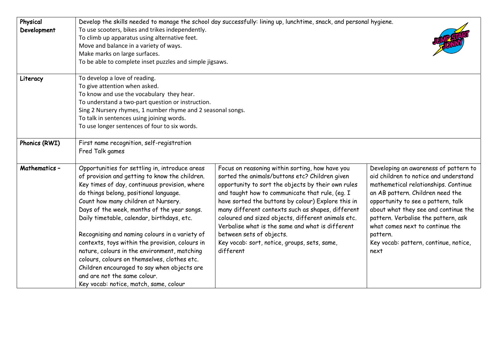| Physical<br>Development | Develop the skills needed to manage the school day successfully: lining up, lunchtime, snack, and personal hygiene.<br>To use scooters, bikes and trikes independently.<br>To climb up apparatus using alternative feet.<br>Move and balance in a variety of ways.<br>Make marks on large surfaces.<br>To be able to complete inset puzzles and simple jigsaws.                                                                                                                                                                                                                                                                                               |                                                                                                                                                                                                                                                                                                                                                                                                                                                                                                                          |                                                                                                                                                                                                                                                                                                                                                                                 |  |  |  |
|-------------------------|---------------------------------------------------------------------------------------------------------------------------------------------------------------------------------------------------------------------------------------------------------------------------------------------------------------------------------------------------------------------------------------------------------------------------------------------------------------------------------------------------------------------------------------------------------------------------------------------------------------------------------------------------------------|--------------------------------------------------------------------------------------------------------------------------------------------------------------------------------------------------------------------------------------------------------------------------------------------------------------------------------------------------------------------------------------------------------------------------------------------------------------------------------------------------------------------------|---------------------------------------------------------------------------------------------------------------------------------------------------------------------------------------------------------------------------------------------------------------------------------------------------------------------------------------------------------------------------------|--|--|--|
| Literacy                | To develop a love of reading.<br>To give attention when asked.<br>To know and use the vocabulary they hear.<br>To understand a two-part question or instruction.<br>Sing 2 Nursery rhymes, 1 number rhyme and 2 seasonal songs.<br>To talk in sentences using joining words.<br>To use longer sentences of four to six words.                                                                                                                                                                                                                                                                                                                                 |                                                                                                                                                                                                                                                                                                                                                                                                                                                                                                                          |                                                                                                                                                                                                                                                                                                                                                                                 |  |  |  |
| Phonics (RWI)           | First name recognition, self-registration<br>Fred Talk games                                                                                                                                                                                                                                                                                                                                                                                                                                                                                                                                                                                                  |                                                                                                                                                                                                                                                                                                                                                                                                                                                                                                                          |                                                                                                                                                                                                                                                                                                                                                                                 |  |  |  |
| Mathematics -           | Opportunities for settling in, introduce areas<br>of provision and getting to know the children.<br>Key times of day, continuous provision, where<br>do things belong, positional language.<br>Count how many children at Nursery.<br>Days of the week, months of the year songs.<br>Daily timetable, calendar, birthdays, etc.<br>Recognising and naming colours in a variety of<br>contexts, toys within the provision, colours in<br>nature, colours in the environment, matching<br>colours, colours on themselves, clothes etc.<br>Children encouraged to say when objects are<br>and are not the same colour.<br>Key vocab: notice, match, same, colour | Focus on reasoning within sorting, how have you<br>sorted the animals/buttons etc? Children given<br>opportunity to sort the objects by their own rules<br>and taught how to communicate that rule, (eg. I<br>have sorted the buttons by colour) Explore this in<br>many different contexts such as shapes, different<br>coloured and sized objects, different animals etc.<br>Verbalise what is the same and what is different<br>between sets of objects.<br>Key vocab: sort, notice, groups, sets, same,<br>different | Developing an awareness of pattern to<br>aid children to notice and understand<br>mathemetical relationships. Continue<br>an AB pattern. Children need the<br>opportunity to see a pattern, talk<br>about what they see and continue the<br>pattern. Verbalise the pattern, ask<br>what comes next to continue the<br>pattern.<br>Key vocab: pattern, continue, notice,<br>next |  |  |  |